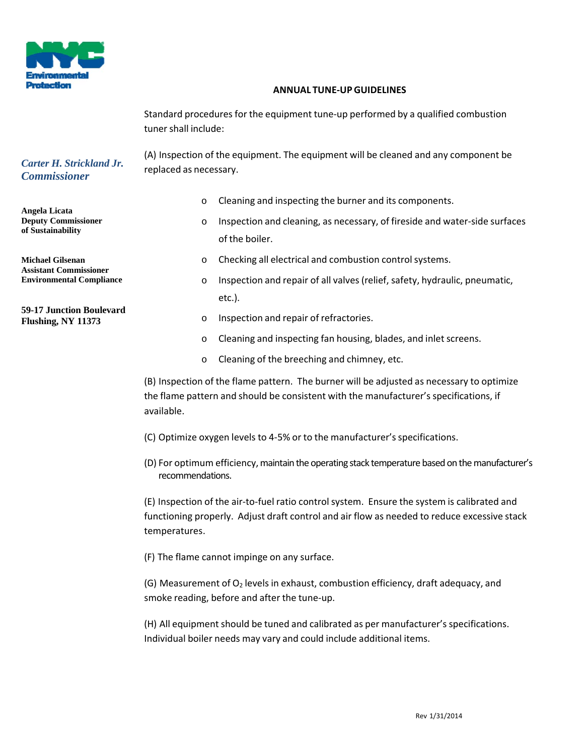

## **ANNUAL TUNE‐UPGUIDELINES**

Standard procedures for the equipment tune-up performed by a qualified combustion tuner shall include:

(A) Inspection of the equipment. The equipment will be cleaned and any component be replaced as necessary.

## *Carter H. Strickland Jr. Commissioner*

**Angela Licata Deputy Commissioner of Sustainability**

**Michael Gilsenan Assistant Commissioner Environmental Compliance**

**59-17 Junction Boulevard Flushing, NY 11373**

- o Cleaning and inspecting the burner and its components.
- o Inspection and cleaning, as necessary, of fireside and water‐side surfaces of the boiler.
- o Checking all electrical and combustion control systems.
- o Inspection and repair of all valves(relief, safety, hydraulic, pneumatic, etc.).
- o Inspection and repair of refractories.
- $\circ$  Cleaning and inspecting fan housing, blades, and inlet screens.
- o Cleaning of the breeching and chimney, etc.

(B) Inspection of the flame pattern. The burner will be adjusted as necessary to optimize the flame pattern and should be consistent with the manufacturer's specifications, if available.

- (C) Optimize oxygen levels to 4‐5% or to the manufacturer'sspecifications.
- (D) For optimum efficiency, maintain the operating stack temperature based on the manufacturer's recommendations.

(E) Inspection of the air‐to‐fuel ratio controlsystem. Ensure the system is calibrated and functioning properly. Adjust draft control and air flow as needed to reduce excessive stack temperatures.

(F) The flame cannot impinge on any surface.

(G) Measurement of  $O_2$  levels in exhaust, combustion efficiency, draft adequacy, and smoke reading, before and after the tune‐up.

(H) All equipment should be tuned and calibrated as per manufacturer's specifications. Individual boiler needs may vary and could include additional items.